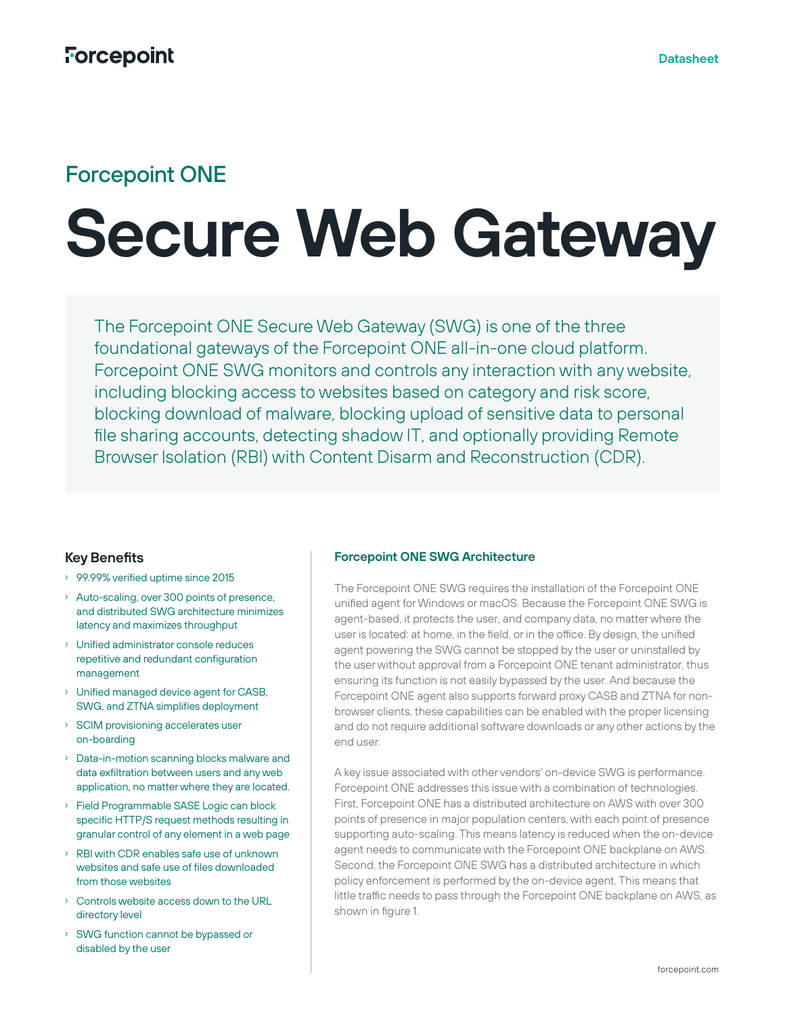# Forcepoint ONE

# **Secure Web Gateway**

The Forcepoint ONE Secure Web Gateway (SWG) is one of the three foundational gateways of the Forcepoint ONE all-in-one cloud platform. Forcepoint ONE SWG monitors and controls any interaction with any website, including blocking access to websites based on category and risk score, blocking download of malware, blocking upload of sensitive data to personal file sharing accounts, detecting shadow IT, and optionally providing Remote Browser Isolation (RBI) with Content Disarm and Reconstruction (CDR).

## **Key Benefits**

- › 99.99% verified uptime since 2015
- › Auto-scaling, over 300 points of presence, and distributed SWG architecture minimizes latency and maximizes throughput
- › Unified administrator console reduces repetitive and redundant configuration management
- › Unified managed device agent for CASB, SWG, and ZTNA simplifies deployment
- › SCIM provisioning accelerates user on-boarding
- › Data-in-motion scanning blocks malware and data exfiltration between users and any web application, no matter where they are located.
- › Field Programmable SASE Logic can block specific HTTP/S request methods resulting in granular control of any element in a web page
- › RBI with CDR enables safe use of unknown websites and safe use of files downloaded from those websites
- › Controls website access down to the URL directory level
- › SWG function cannot be bypassed or disabled by the user

### **Forcepoint ONE SWG Architecture**

The Forcepoint ONE SWG requires the installation of the Forcepoint ONE unified agent for Windows or macOS. Because the Forcepoint ONE SWG is agent-based, it protects the user, and company data, no matter where the user is located: at home, in the field, or in the office. By design, the unified agent powering the SWG cannot be stopped by the user or uninstalled by the user without approval from a Forcepoint ONE tenant administrator, thus ensuring its function is not easily bypassed by the user. And because the Forcepoint ONE agent also supports forward proxy CASB and ZTNA for nonbrowser clients, these capabilities can be enabled with the proper licensing and do not require additional software downloads or any other actions by the end user.

A key issue associated with other vendors' on-device SWG is performance. Forcepoint ONE addresses this issue with a combination of technologies. First, Forcepoint ONE has a distributed architecture on AWS with over 300 points of presence in major population centers, with each point of presence supporting auto-scaling. This means latency is reduced when the on-device agent needs to communicate with the Forcepoint ONE backplane on AWS. Second, the Forcepoint ONE SWG has a distributed architecture in which policy enforcement is performed by the on-device agent. This means that little traffic needs to pass through the Forcepoint ONE backplane on AWS, as shown in figure 1.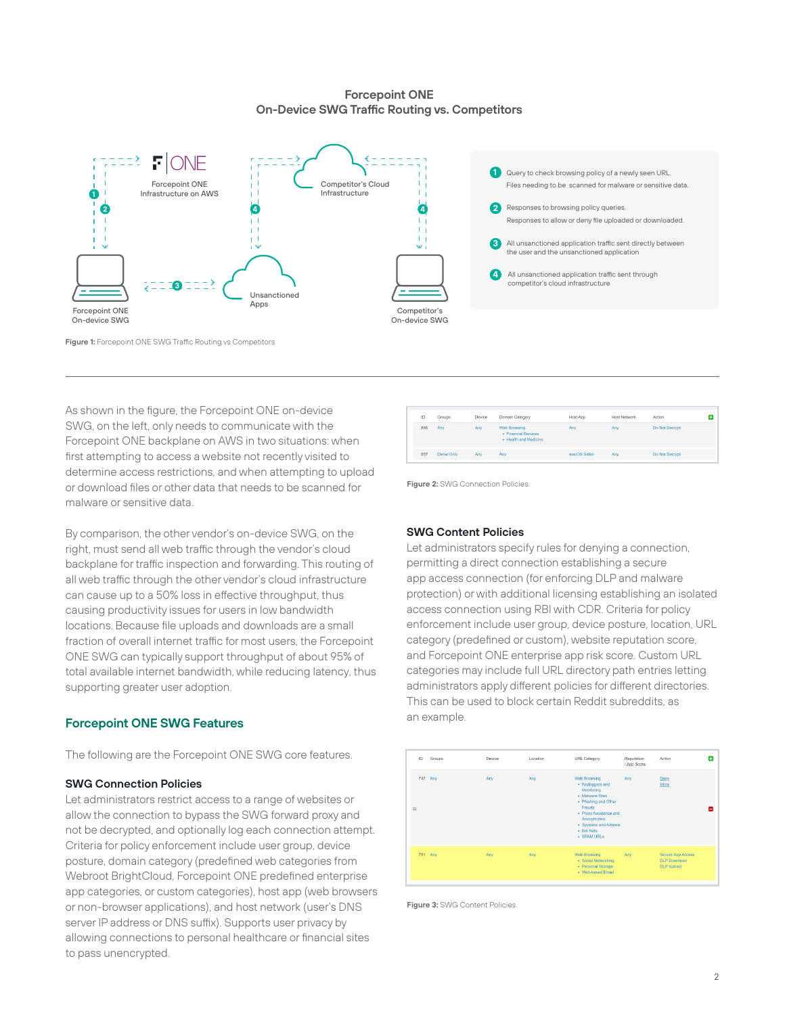#### **Forcepoint ONE On-Device SWG Traffic Routing vs. Competitors**



#### **Figure 1:** Forcepoint ONE SWG Traffic Routing vs Competitors

As shown in the figure, the Forcepoint ONE on-device SWG, on the left, only needs to communicate with the Forcepoint ONE backplane on AWS in two situations: when first attempting to access a website not recently visited to determine access restrictions, and when attempting to upload or download files or other data that needs to be scanned for malware or sensitive data.

By comparison, the other vendor's on-device SWG, on the right, must send all web traffic through the vendor's cloud backplane for traffic inspection and forwarding. This routing of all web traffic through the other vendor's cloud infrastructure can cause up to a 50% loss in effective throughput, thus causing productivity issues for users in low bandwidth locations. Because file uploads and downloads are a small fraction of overall internet traffic for most users, the Forcepoint ONE SWG can typically support throughput of about 95% of total available internet bandwidth, while reducing latency, thus supporting greater user adoption.

#### **Forcepoint ONE SWG Features**

The following are the Forcepoint ONE SWG core features.

#### **SWG Connection Policies**

Let administrators restrict access to a range of websites or allow the connection to bypass the SWG forward proxy and not be decrypted, and optionally log each connection attempt. Criteria for policy enforcement include user group, device posture, domain category (predefined web categories from Webroot BrightCloud, Forcepoint ONE predefined enterprise app categories, or custom categories), host app (web browsers or non-browser applications), and host network (user's DNS server IP address or DNS suffix). Supports user privacy by allowing connections to personal healthcare or financial sites to pass unencrypted.



**Figure 2: SWG Connection Policies** 

#### **SWG Content Policies**

Let administrators specify rules for denying a connection, permitting a direct connection establishing a secure app access connection (for enforcing DLP and malware protection) or with additional licensing establishing an isolated access connection using RBI with CDR. Criteria for policy enforcement include user group, device posture, location, URL category (predefined or custom), website reputation score, and Forcepoint ONE enterprise app risk score. Custom URL categories may include full URL directory path entries letting administrators apply different policies for different directories. This can be used to block certain Reddit subreddits, as an example.



**Figure 3:** SWG Content Policies.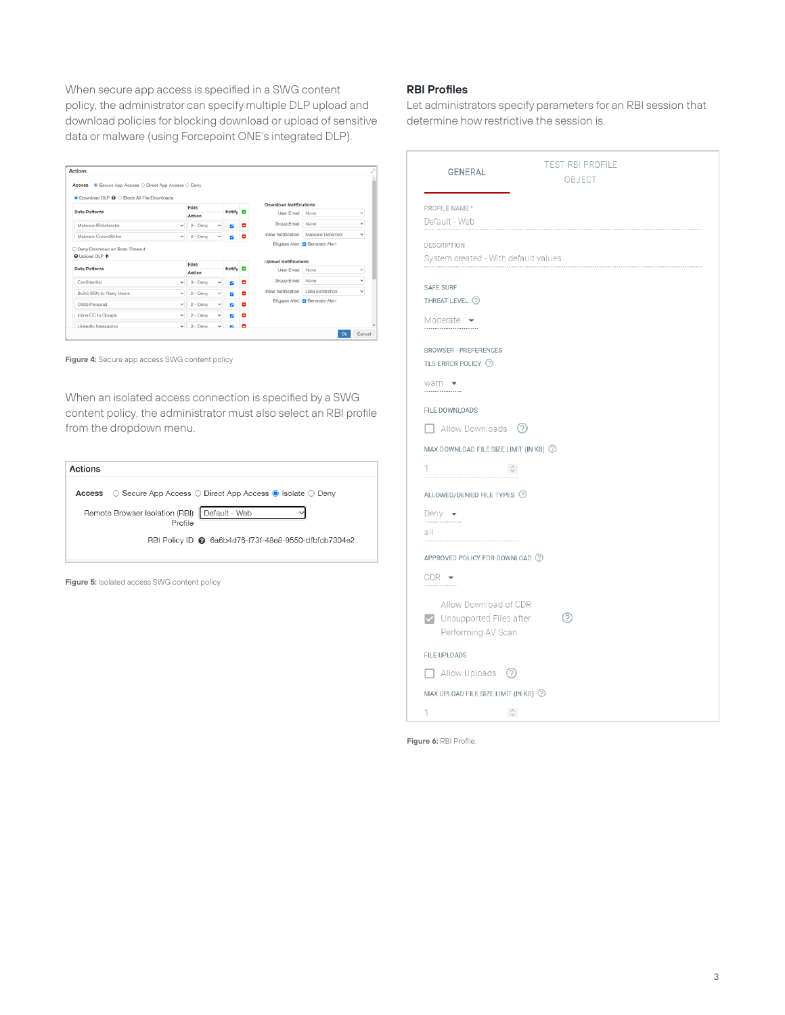When secure app access is specified in a SWG content policy, the administrator can specify multiple DLP upload and download policies for blocking download or upload of sensitive data or malware (using Forcepoint ONE's integrated DLP).

| Actions                                                                                              |              |            |                          |                 |                             |                                        |                          |  |
|------------------------------------------------------------------------------------------------------|--------------|------------|--------------------------|-----------------|-----------------------------|----------------------------------------|--------------------------|--|
| Access · Secure App Access O Direct App Access O Deny<br>● Download DLP 2 C Block All File Downloads |              |            |                          |                 |                             |                                        |                          |  |
|                                                                                                      | Files        |            |                          |                 |                             | <b>Download Notifications</b>          |                          |  |
| Data Patterns                                                                                        |              | Action     |                          | Notify <b>D</b> | User Email None             |                                        | $\checkmark$             |  |
| Malware-Bitdefender                                                                                  | $\checkmark$ | $2 -$ Derw |                          | ۰               | Group Email                 | None                                   | $\overline{\phantom{a}}$ |  |
| Malware-CrowdStrike                                                                                  | v            | $2 -$ Denv | v                        |                 | Inline Notification         | Malware Detected                       | $\checkmark$             |  |
|                                                                                                      |              |            |                          |                 |                             | Bitglass Alert <b>Z</b> Generate Alert |                          |  |
|                                                                                                      |              | Files      |                          |                 | <b>Upload Notifications</b> |                                        |                          |  |
|                                                                                                      |              | Action     |                          | Notify <b>D</b> | User Email                  | None                                   | $\checkmark$             |  |
| Confidential                                                                                         | $\checkmark$ | $2 -$ Deny | v                        | Е               | Group Email                 | None                                   | v                        |  |
| Buik5 SSN to Risky Users                                                                             | v            | 2 - Denv   | $\overline{\phantom{a}}$ | ۰               | Inline Notification         | Data Exfiltration                      | $\checkmark$             |  |
| O365 Personal                                                                                        | v            | $2 -$ Deny | $\checkmark$             | ۰               |                             | Bitglass Alert 2 Generate Alert        |                          |  |
| Deny Download on Scan Timeout<br><b>O</b> Upload DLP ←<br>Data Patterns<br>Inline CC to Google       | $\sim$       | $2 -$ Denv | v                        | ۰               |                             |                                        |                          |  |

**Figure 4:** Secure app access SWG content policy

When an isolated access connection is specified by a SWG content policy, the administrator must also select an RBI profile from the dropdown menu.

| Actions                                                                                      |  |
|----------------------------------------------------------------------------------------------|--|
| $\circ$ Secure App Access $\circ$ Direct App Access $\bullet$ Isolate $\circ$ Deny<br>Access |  |
| Remote Browser Isolation (RBI)   Default - Web<br>Profile                                    |  |
| RBI Policy ID @ 6a6b4d76-f73f-48e8-9550-dfbfcb7304e2                                         |  |
|                                                                                              |  |

**Figure 5:** Isolated access SWG content policy

#### **RBI Profiles**

Let administrators specify parameters for an RBI session that determine how restrictive the session is.

| <b>GENERAL</b>                                      | <b>TEST RBI PROFILE</b><br>OBJECT |
|-----------------------------------------------------|-----------------------------------|
| PROFILE NAME *<br>Default - Web                     |                                   |
| DESCRIPTION<br>System created - With default values |                                   |
| <b>SAFE SURF</b><br>THREAT LEVEL 2                  |                                   |
| Moderate $\rightarrow$                              |                                   |
| <b>BROWSER - PREFERENCES</b><br>TLS ERROR POLICY 2  |                                   |
| warn $\overline{\phantom{a}}$<br>                   |                                   |
| FILE DOWNLOADS                                      |                                   |
| $\Box$ Allow Downloads $\oslash$                    |                                   |
| MAX DOWNLOAD FILE SIZE LIMIT (IN KB) 2              |                                   |
| 1.<br>$\hat{\mathcal{C}}$                           |                                   |
| ALLOWED/DENIED FILE TYPES 2                         |                                   |
| Deny $\bullet$                                      |                                   |
| all                                                 |                                   |
| APPROVED POLICY FOR DOWNLOAD (?)                    |                                   |
| $CDR$ $\rightarrow$                                 |                                   |
| Allow Download of CDR                               |                                   |
| V Unsupported Files after                           | ②                                 |
| Performing AV Scan                                  |                                   |
| <b>FILE UPLOADS</b>                                 |                                   |
| $\Box$ Allow Uploads $\oslash$                      |                                   |
| MAX UPLOAD FILE SIZE LIMIT (IN KB) 2                |                                   |
| $\mathbb{C}$<br>1                                   |                                   |

**Figure 6:** RBI Profile.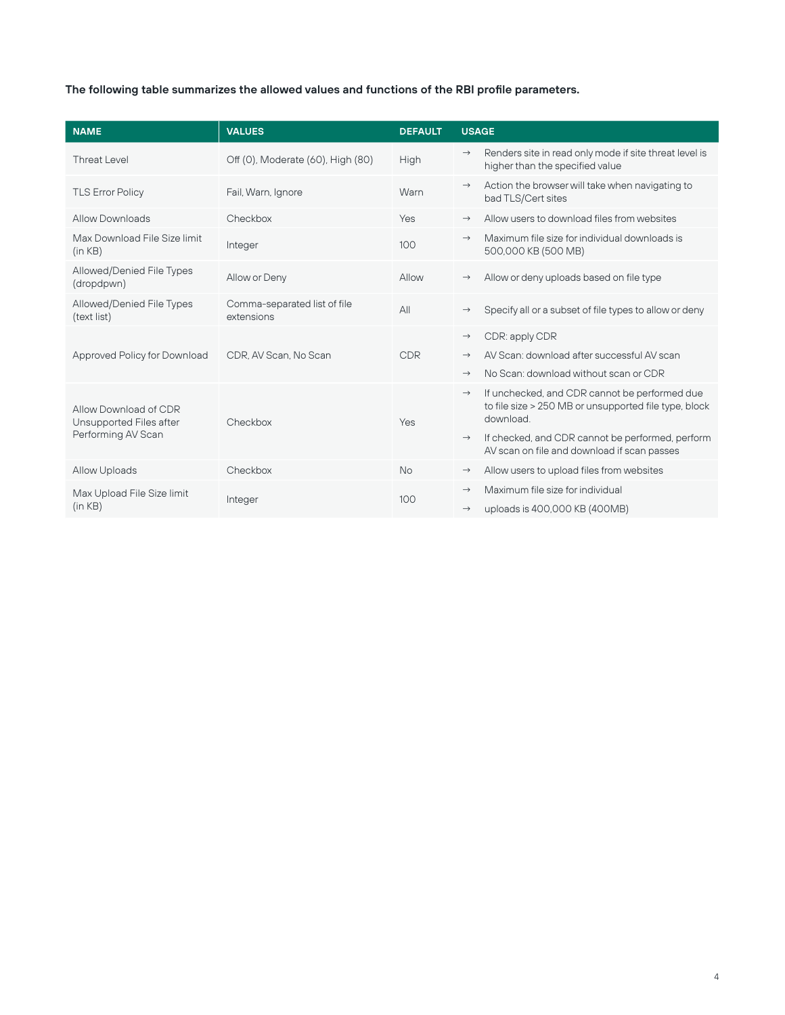# **The following table summarizes the allowed values and functions of the RBI profile parameters.**

| <b>NAME</b>                                                            | <b>VALUES</b>                              | <b>DEFAULT</b> | <b>USAGE</b>  |                                                                                                                     |
|------------------------------------------------------------------------|--------------------------------------------|----------------|---------------|---------------------------------------------------------------------------------------------------------------------|
| Threat Level                                                           | Off (0), Moderate (60), High (80)          | High           | $\rightarrow$ | Renders site in read only mode if site threat level is<br>higher than the specified value                           |
| <b>TLS Error Policy</b>                                                | Fail, Warn, Ignore                         | Warn           | $\rightarrow$ | Action the browser will take when navigating to<br>bad TLS/Cert sites                                               |
| <b>Allow Downloads</b>                                                 | Checkbox                                   | Yes            | $\rightarrow$ | Allow users to download files from websites                                                                         |
| Max Download File Size limit<br>(in KB)                                | Integer                                    | 100            | $\rightarrow$ | Maximum file size for individual downloads is<br>500,000 KB (500 MB)                                                |
| Allowed/Denied File Types<br>(dropdpwn)                                | Allow or Deny                              | Allow          | $\rightarrow$ | Allow or deny uploads based on file type                                                                            |
| Allowed/Denied File Types<br>(text list)                               | Comma-separated list of file<br>extensions | AlI            | $\rightarrow$ | Specify all or a subset of file types to allow or deny                                                              |
|                                                                        |                                            |                | $\rightarrow$ | CDR: apply CDR                                                                                                      |
| Approved Policy for Download                                           | CDR. AV Scan. No Scan                      | <b>CDR</b>     | $\rightarrow$ | AV Scan: download after successful AV scan                                                                          |
|                                                                        |                                            |                | $\rightarrow$ | No Scan: download without scan or CDR                                                                               |
| Allow Download of CDR<br>Unsupported Files after<br>Performing AV Scan | Checkbox                                   | Yes            | $\rightarrow$ | If unchecked, and CDR cannot be performed due<br>to file size > 250 MB or unsupported file type, block<br>download. |
|                                                                        |                                            |                | $\rightarrow$ | If checked, and CDR cannot be performed, perform<br>AV scan on file and download if scan passes                     |
| <b>Allow Uploads</b>                                                   | Checkbox                                   | <b>No</b>      | $\rightarrow$ | Allow users to upload files from websites                                                                           |
| Max Upload File Size limit                                             | Integer                                    | 100            | $\rightarrow$ | Maximum file size for individual                                                                                    |
| (in KB)                                                                |                                            |                | $\rightarrow$ | uploads is 400,000 KB (400MB)                                                                                       |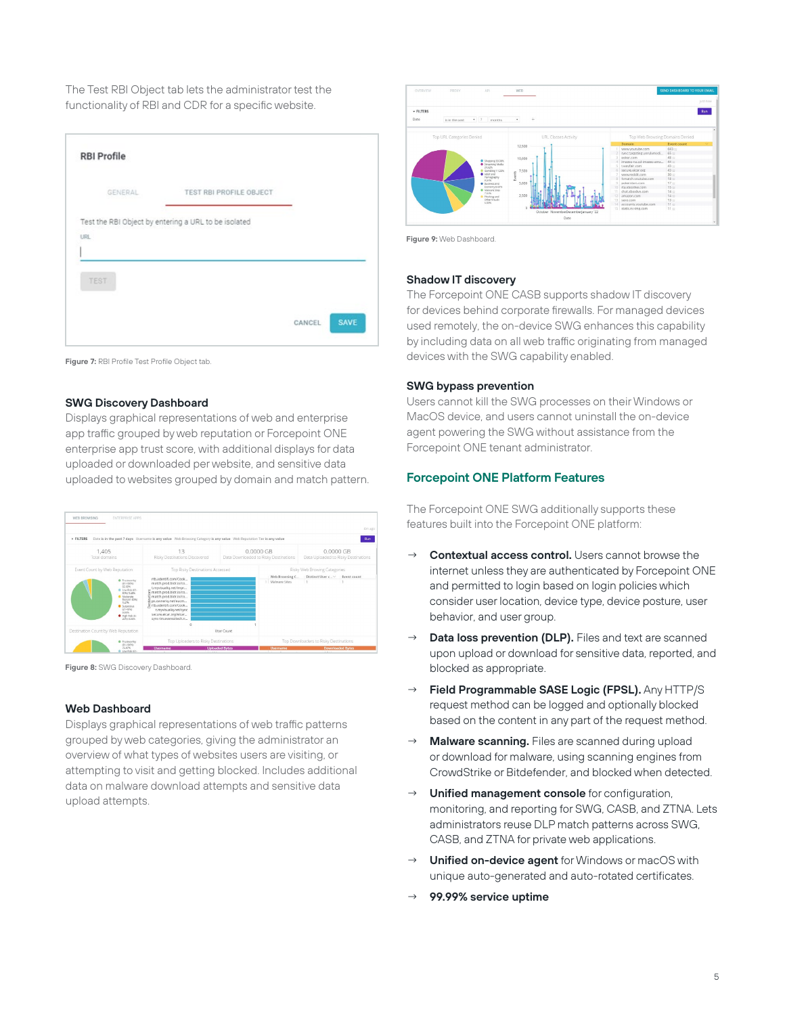The Test RBI Object tab lets the administrator test the functionality of RBI and CDR for a specific website.

|      | GENERAL | TEST RBI PROFILE OBJECT                              |  |
|------|---------|------------------------------------------------------|--|
|      |         | Test the RBI Object by entering a URL to be isolated |  |
| URL- |         |                                                      |  |
| TEST |         |                                                      |  |

**Figure 7:** RBI Profile Test Profile Object tab.

#### **SWG Discovery Dashboard**

Displays graphical representations of web and enterprise app traffic grouped by web reputation or Forcepoint ONE enterprise app trust score, with additional displays for data uploaded or downloaded per website, and sensitive data uploaded to websites grouped by domain and match pattern.

| WEB BROWSING<br>ENTERPRISE APPS                                                                                                                                                                                                                                         |                                                                                                                                                                                                                                                                                                      |                                                    | Am ago                                                                           |
|-------------------------------------------------------------------------------------------------------------------------------------------------------------------------------------------------------------------------------------------------------------------------|------------------------------------------------------------------------------------------------------------------------------------------------------------------------------------------------------------------------------------------------------------------------------------------------------|----------------------------------------------------|----------------------------------------------------------------------------------|
| <b>&gt; FILTERS</b>                                                                                                                                                                                                                                                     | Date is in the past 7 days Username is any value Web Browsing Category is any value Web Reputation Tier is any value                                                                                                                                                                                 |                                                    | Run                                                                              |
| 1,405<br>Total domains                                                                                                                                                                                                                                                  | 13<br>Risky Destinations Discovered                                                                                                                                                                                                                                                                  | 0.0000 GB<br>Data Downloaded to Risky Destinations | 0.0000 GB<br>Data Uploaded to Risky Destinations                                 |
| Event Count by Web Reputation<br>@ Trustworthy<br>(81-100%)<br>92,99%<br>C Low Rick (61)<br>80%13.48%<br><b>B</b> Moderate<br>Parck 441-60/60<br>3,47%<br>· Suspicous<br>$(21 - 60\%)$<br>0.0V/h.<br>· High Rok (D-<br>20% 0.00%<br>Destination Count by Web Reputation | Top Risky Destinations Accessed<br>rth.adentifi.com/Cook<br>match.prod.bidr.io/co<br>t.myvisualig.net/impr<br>match.prod.bidr.io/co<br>match.prod.bidr.io/co<br>px.ownerig.net/eucm<br>rtb.adentifi.com/Cook<br>t.myvisualiq.net/sync<br>secure.eicar.org/eicar<br>sync-tm.everesttech.n<br>$\theta$ | Web Browsing C.,<br>1 Malyzare Sites<br>User Count | Risky Web Browing Categories<br>Distinct User c V<br>Event count<br>$\mathbf{1}$ |
| @ Trustworthy                                                                                                                                                                                                                                                           | Top Uploaders to Risky Destinations                                                                                                                                                                                                                                                                  |                                                    | Top Downloaders to Risky Destinations                                            |
| (\$1-100%)<br>75.97%<br>B. Low Risk (61-                                                                                                                                                                                                                                | <b>Username</b>                                                                                                                                                                                                                                                                                      | <b>Uploaded Bytes</b><br><b>Username</b>           | <b>Downloaded Bytes</b>                                                          |

**Figure 8:** SWG Discovery Dashboard.

#### **Web Dashboard**

Displays graphical representations of web traffic patterns grouped by web categories, giving the administrator an overview of what types of websites users are visiting, or attempting to visit and getting blocked. Includes additional data on malware download attempts and sensitive data upload attempts.



**Figure 9:** Web Dashboard.

#### **Shadow IT discovery**

The Forcepoint ONE CASB supports shadow IT discovery for devices behind corporate firewalls. For managed devices used remotely, the on-device SWG enhances this capability by including data on all web traffic originating from managed devices with the SWG capability enabled.

#### **SWG bypass prevention**

Users cannot kill the SWG processes on their Windows or MacOS device, and users cannot uninstall the on-device agent powering the SWG without assistance from the Forcepoint ONE tenant administrator.

#### **Forcepoint ONE Platform Features**

The Forcepoint ONE SWG additionally supports these features built into the Forcepoint ONE platform:

- **Contextual access control.** Users cannot browse the internet unless they are authenticated by Forcepoint ONE and permitted to login based on login policies which consider user location, device type, device posture, user behavior, and user group.
- **Data loss prevention (DLP).** Files and text are scanned upon upload or download for sensitive data, reported, and blocked as appropriate.
- **Field Programmable SASE Logic (FPSL).** Any HTTP/S request method can be logged and optionally blocked based on the content in any part of the request method.
- Malware scanning. Files are scanned during upload or download for malware, using scanning engines from CrowdStrike or Bitdefender, and blocked when detected.
- **Unified management console** for configuration, monitoring, and reporting for SWG, CASB, and ZTNA. Lets administrators reuse DLP match patterns across SWG, CASB, and ZTNA for private web applications.
- **Unified on-device agent** for Windows or macOS with unique auto-generated and auto-rotated certificates.
- → **99.99% service uptime**